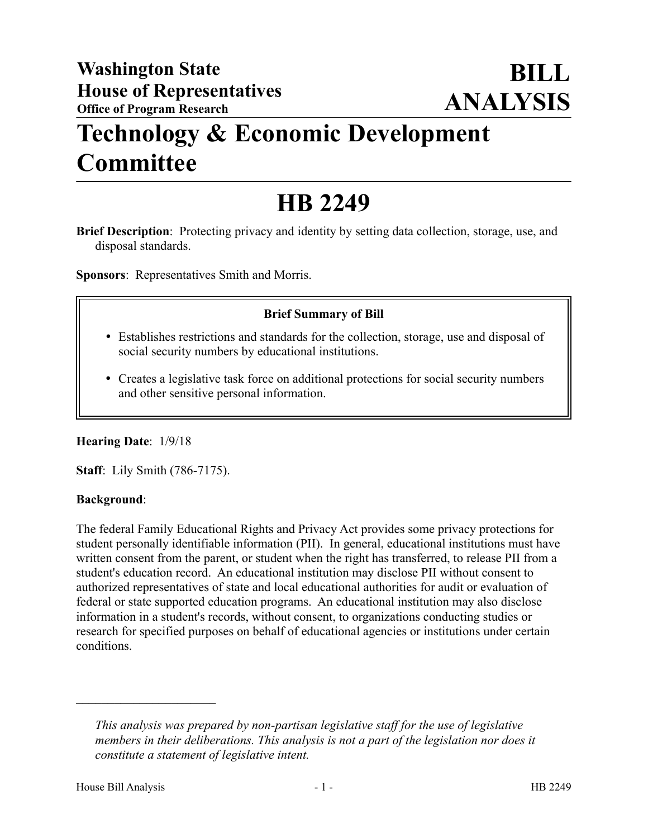## **Technology & Economic Development Committee**

# **HB 2249**

**Brief Description**: Protecting privacy and identity by setting data collection, storage, use, and disposal standards.

**Sponsors**: Representatives Smith and Morris.

### **Brief Summary of Bill**

- Establishes restrictions and standards for the collection, storage, use and disposal of social security numbers by educational institutions.
- Creates a legislative task force on additional protections for social security numbers and other sensitive personal information.

#### **Hearing Date**: 1/9/18

**Staff**: Lily Smith (786-7175).

#### **Background**:

The federal Family Educational Rights and Privacy Act provides some privacy protections for student personally identifiable information (PII). In general, educational institutions must have written consent from the parent, or student when the right has transferred, to release PII from a student's education record. An educational institution may disclose PII without consent to authorized representatives of state and local educational authorities for audit or evaluation of federal or state supported education programs. An educational institution may also disclose information in a student's records, without consent, to organizations conducting studies or research for specified purposes on behalf of educational agencies or institutions under certain conditions.

––––––––––––––––––––––

*This analysis was prepared by non-partisan legislative staff for the use of legislative members in their deliberations. This analysis is not a part of the legislation nor does it constitute a statement of legislative intent.*